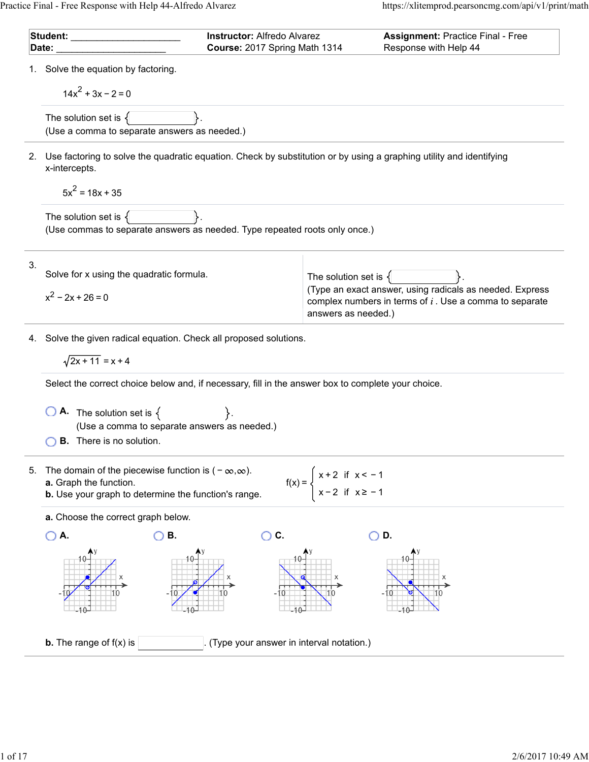| Student: ________<br>Date: |                                                                                                                                                       | <b>Instructor: Alfredo Alvarez</b><br>Course: 2017 Spring Math 1314                                |                                                 | <b>Assignment: Practice Final - Free</b><br>Response with Help 44                                                     |  |  |  |
|----------------------------|-------------------------------------------------------------------------------------------------------------------------------------------------------|----------------------------------------------------------------------------------------------------|-------------------------------------------------|-----------------------------------------------------------------------------------------------------------------------|--|--|--|
|                            | 1. Solve the equation by factoring.                                                                                                                   |                                                                                                    |                                                 |                                                                                                                       |  |  |  |
|                            | $14x^2 + 3x - 2 = 0$                                                                                                                                  |                                                                                                    |                                                 |                                                                                                                       |  |  |  |
|                            | The solution set is $\{$<br>(Use a comma to separate answers as needed.)                                                                              |                                                                                                    |                                                 |                                                                                                                       |  |  |  |
| 2.                         | Use factoring to solve the quadratic equation. Check by substitution or by using a graphing utility and identifying<br>x-intercepts.                  |                                                                                                    |                                                 |                                                                                                                       |  |  |  |
|                            | $5x^2 = 18x + 35$                                                                                                                                     |                                                                                                    |                                                 |                                                                                                                       |  |  |  |
|                            | The solution set is $\{$<br>(Use commas to separate answers as needed. Type repeated roots only once.)                                                |                                                                                                    |                                                 |                                                                                                                       |  |  |  |
| 3.                         | Solve for x using the quadratic formula.                                                                                                              |                                                                                                    |                                                 |                                                                                                                       |  |  |  |
|                            | $x^2 - 2x + 26 = 0$                                                                                                                                   |                                                                                                    | The solution set is $\{$<br>answers as needed.) | (Type an exact answer, using radicals as needed. Express<br>complex numbers in terms of $i$ . Use a comma to separate |  |  |  |
| 4.                         | Solve the given radical equation. Check all proposed solutions.                                                                                       |                                                                                                    |                                                 |                                                                                                                       |  |  |  |
|                            |                                                                                                                                                       | $\sqrt{2x+11}$ = x + 4                                                                             |                                                 |                                                                                                                       |  |  |  |
|                            |                                                                                                                                                       | Select the correct choice below and, if necessary, fill in the answer box to complete your choice. |                                                 |                                                                                                                       |  |  |  |
|                            | $\overline{O}$ <b>A</b> . The solution set is $\{$<br>(Use a comma to separate answers as needed.)<br><b>B.</b> There is no solution.                 |                                                                                                    |                                                 |                                                                                                                       |  |  |  |
| 5.                         | The domain of the piecewise function is $(-\infty,\infty)$ .<br>a. Graph the function.<br><b>b.</b> Use your graph to determine the function's range. | $f(x) = \begin{cases}$                                                                             | $x + 2$ if $x < -1$<br>$x - 2$ if $x \ge -1$    |                                                                                                                       |  |  |  |
|                            | a. Choose the correct graph below.                                                                                                                    |                                                                                                    |                                                 |                                                                                                                       |  |  |  |
|                            | $\bigcirc$ A.<br>В.                                                                                                                                   | $\bigcirc$ c.                                                                                      |                                                 | D.                                                                                                                    |  |  |  |
|                            |                                                                                                                                                       |                                                                                                    |                                                 |                                                                                                                       |  |  |  |
|                            | <b>b.</b> The range of $f(x)$ is                                                                                                                      | (Type your answer in interval notation.)                                                           |                                                 |                                                                                                                       |  |  |  |
|                            |                                                                                                                                                       |                                                                                                    |                                                 |                                                                                                                       |  |  |  |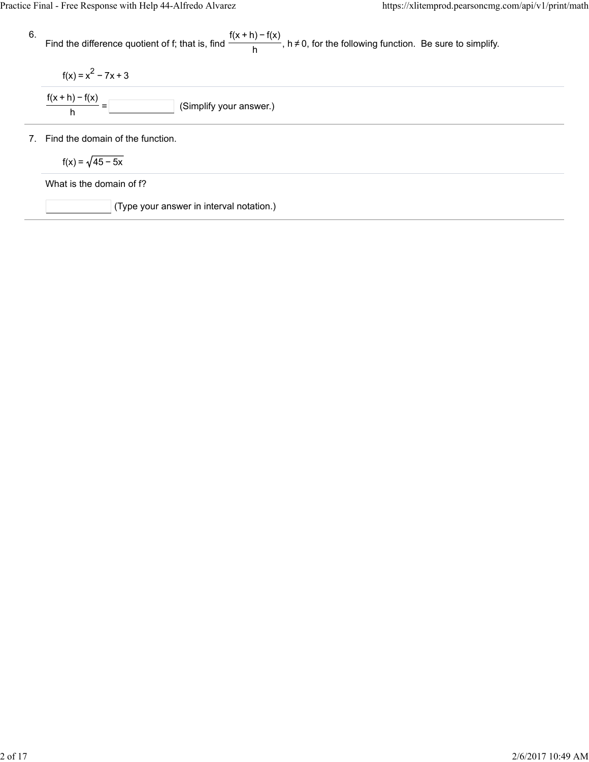\n- 6. Find the difference quotient of f; that is, find 
$$
\frac{f(x+h) - f(x)}{h}
$$
,  $h \neq 0$ , for the following function. Be sure to simplify.
\n- $f(x) = x^2 - 7x + 3$
\n- $\frac{f(x+h) - f(x)}{h} = \boxed{\boxed{\boxed{\text{(Simplify your answer.)}}}}$  (Simplify your answer.)
\n- 7. Find the domain of the function.
\n- $f(x) = \sqrt{45 - 5x}$
\n- What is the domain of f?
\n- (Type your answer in interval notation.)
\n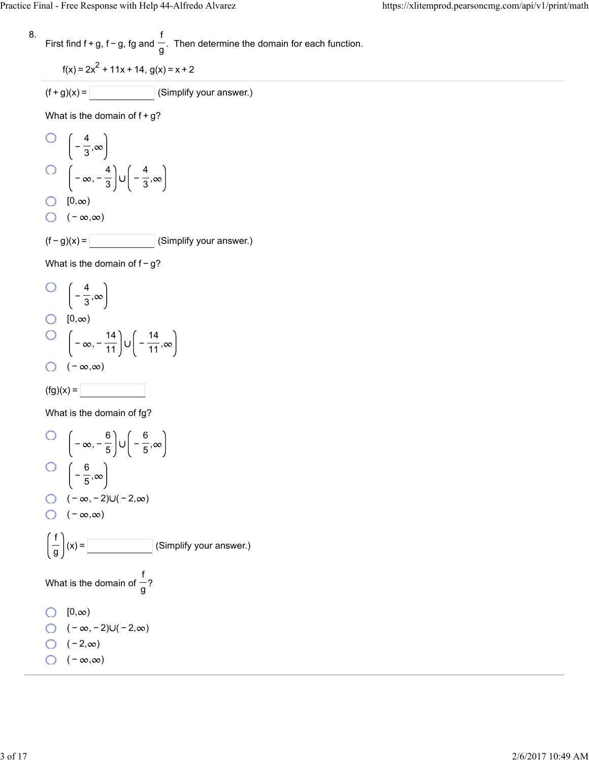8. First find 
$$
f + g
$$
,  $f - g$ ,  $fg$  and  $\frac{f}{g}$ . Then determine the domain for each function.

$$
f(x) = 2x^2 + 11x + 14, g(x) = x + 2
$$

$$
(f+g)(x) = \boxed{\qquad \qquad} \text{(Simplify your answer.)}
$$

What is the domain of  $f+g$ ?

O 
$$
\left(-\frac{4}{3}, \infty\right)
$$
  
O  $\left(-\infty, -\frac{4}{3}\right) \cup \left(-\frac{4}{3}, \infty\right)$   
O [0, ∞)  
O  $(-\infty, \infty)$   
(f - g)(x) = \_\_\_\_\_\_ (Simplify your answer.)

What is the domain of f - g?

O 
$$
\left(-\frac{4}{3}, \infty\right)
$$
  
O  $\left[0, \infty\right)$   
O  $\left(-\infty, -\frac{14}{11}\right) \cup \left(-\frac{14}{11}, \infty\right)$ 

$$
\bigcirc \quad (-\infty,\infty)
$$

$$
(\text{fg})(x) =
$$

What is the domain of fg?

O 
$$
\left(-\infty, -\frac{6}{5}\right) \cup \left(-\frac{6}{5}, \infty\right)
$$
  
\nO  $\left(-\frac{6}{5}, \infty\right)$   
\nO  $\left(-\infty, -2\right) \cup \left(-2, \infty\right)$   
\nO  $\left(-\infty, \infty\right)$   
\n $\left(\frac{f}{g}\right)(x) =$  (Simplify your answer.)  
\nWhat is the domain of  $\frac{f}{g}$ ?  
\nO  $\left[0, \infty\right)$   
\nO  $\left(-\infty, -2\right) \cup \left(-2, \infty\right)$   
\nO  $\left(-2, \infty\right)$   
\nO  $\left(-\infty, \infty\right)$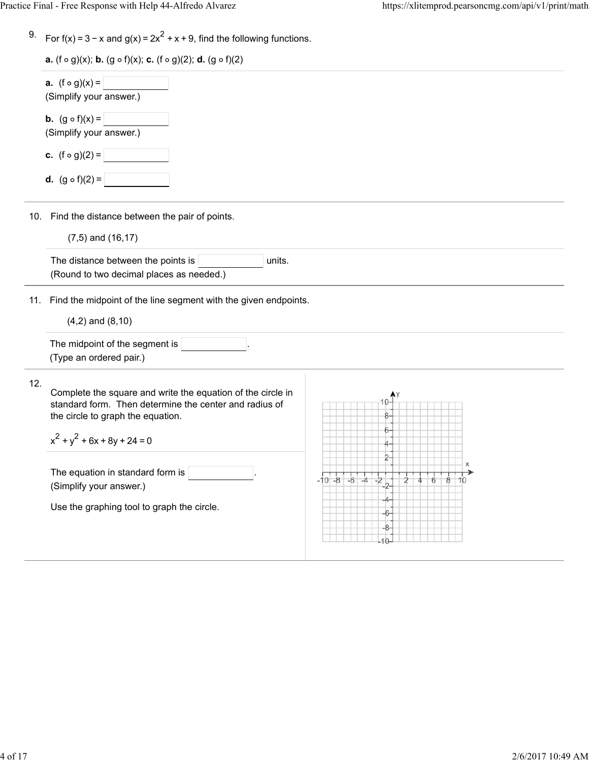|  | 9. For $f(x) = 3 - x$ and $g(x) = 2x^2 + x + 9$ , find the following functions. |
|--|---------------------------------------------------------------------------------|
|  |                                                                                 |

| <b>a.</b> (f $\circ$ g)(x); <b>b.</b> (g $\circ$ f)(x); <b>c.</b> (f $\circ$ g)(2); <b>d.</b> (g $\circ$ f)(2) |  |  |
|----------------------------------------------------------------------------------------------------------------|--|--|
|                                                                                                                |  |  |

| <b>a.</b> $(1 \circ g)(x)$ , <b>b.</b> $(g \circ 1)(x)$ , <b>c.</b> $(1 \circ g)(z)$ , <b>d.</b> $(g \circ 1)(z)$                                                                                |                                                                                                                                                               |
|--------------------------------------------------------------------------------------------------------------------------------------------------------------------------------------------------|---------------------------------------------------------------------------------------------------------------------------------------------------------------|
| <b>a.</b> $(f \circ g)(x) =$<br>(Simplify your answer.)                                                                                                                                          |                                                                                                                                                               |
| <b>b.</b> $(g \circ f)(x) =$<br>(Simplify your answer.)                                                                                                                                          |                                                                                                                                                               |
| <b>c.</b> $(f \circ g)(2) =$<br><b>d.</b> $(g \circ f)(2) =$                                                                                                                                     |                                                                                                                                                               |
| 10. Find the distance between the pair of points.<br>$(7,5)$ and $(16,17)$                                                                                                                       |                                                                                                                                                               |
| (Round to two decimal places as needed.)                                                                                                                                                         |                                                                                                                                                               |
| 11.<br>$(4,2)$ and $(8,10)$                                                                                                                                                                      |                                                                                                                                                               |
| The midpoint of the segment is<br>(Type an ordered pair.)                                                                                                                                        |                                                                                                                                                               |
| Complete the square and write the equation of the circle in<br>standard form. Then determine the center and radius of<br>the circle to graph the equation.<br>$x^{2} + y^{2} + 6x + 8y + 24 = 0$ |                                                                                                                                                               |
| The equation in standard form is<br>(Simplify your answer.)                                                                                                                                      | -2<br>-8<br>-101                                                                                                                                              |
|                                                                                                                                                                                                  |                                                                                                                                                               |
|                                                                                                                                                                                                  | The distance between the points is<br>units.<br>Find the midpoint of the line segment with the given endpoints.<br>Use the graphing tool to graph the circle. |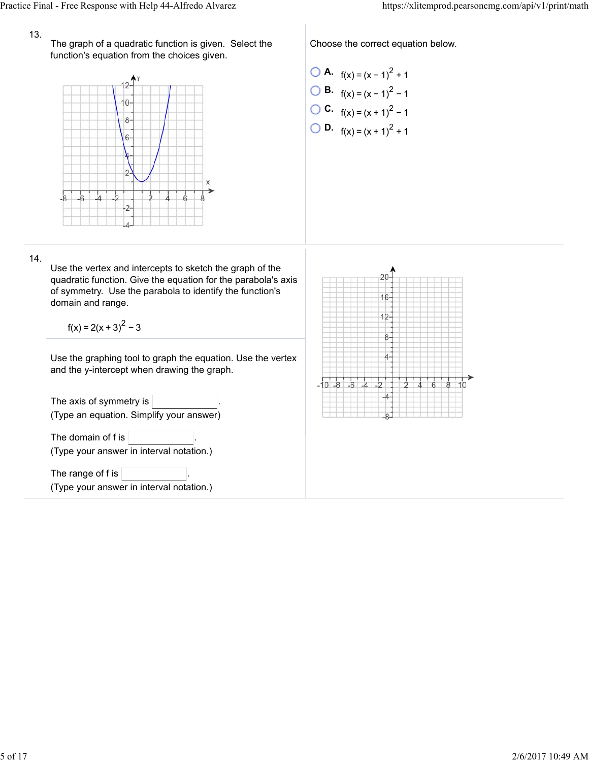## 13.

The graph of a quadratic function is given. Select the function's equation from the choices given.



Choose the correct equation below.

\n- **O A.** 
$$
f(x) = (x - 1)^2 + 1
$$
\n- **O B.**  $f(x) = (x - 1)^2 - 1$
\n- **O C.**  $f(x) = (x + 1)^2 - 1$
\n- **O D.**  $f(x) = (x + 1)^2 + 1$
\n

## 14.

Use the vertex and intercepts to sketch the graph of the quadratic function. Give the equation for the parabola's axis of symmetry. Use the parabola to identify the function's domain and range.

 $f(x) = 2(x + 3)^{2} - 3$ 

Use the graphing tool to graph the equation. Use the vertex and the y-intercept when drawing the graph.

The axis of symmetry is  $|$ (Type an equation. Simplify your answer) The domain of  $f$  is  $\vert$ (Type your answer in interval notation.) The range of f is (Type your answer in interval notation.)

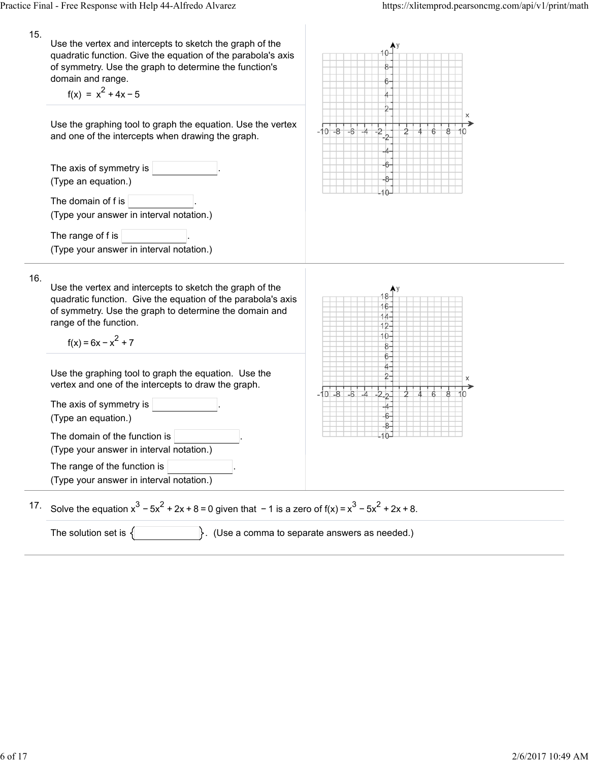| 15. | Use the vertex and intercepts to sketch the graph of the<br>quadratic function. Give the equation of the parabola's axis<br>of symmetry. Use the graph to determine the function's<br>domain and range.<br>$f(x) = x2 + 4x - 5$       |                                                     |  |  |
|-----|---------------------------------------------------------------------------------------------------------------------------------------------------------------------------------------------------------------------------------------|-----------------------------------------------------|--|--|
|     | Use the graphing tool to graph the equation. Use the vertex<br>and one of the intercepts when drawing the graph.                                                                                                                      | $-10 - 8$<br>$-\hat{6}$                             |  |  |
|     | The axis of symmetry is $ $<br>(Type an equation.)                                                                                                                                                                                    |                                                     |  |  |
|     | The domain of f is<br>(Type your answer in interval notation.)                                                                                                                                                                        |                                                     |  |  |
|     | The range of f is<br>(Type your answer in interval notation.)                                                                                                                                                                         |                                                     |  |  |
| 16. | Use the vertex and intercepts to sketch the graph of the<br>quadratic function. Give the equation of the parabola's axis<br>of symmetry. Use the graph to determine the domain and<br>range of the function.<br>$f(x) = 6x - x^2 + 7$ | 16<br>$14 -$<br>$12 -$<br>10<br>8.                  |  |  |
|     | Use the graphing tool to graph the equation. Use the<br>vertex and one of the intercepts to draw the graph.                                                                                                                           | 6.<br>$-10 - 8 - 6 - 4$                             |  |  |
|     | The axis of symmetry is<br>(Type an equation.)                                                                                                                                                                                        | $-2$<br>-6-                                         |  |  |
|     | The domain of the function is<br>(Type your answer in interval notation.)                                                                                                                                                             |                                                     |  |  |
|     | The range of the function is<br>(Type your answer in interval notation.)                                                                                                                                                              |                                                     |  |  |
| 17. | Solve the equation $x^3 - 5x^2 + 2x + 8 = 0$ given that $-1$ is a zero of $f(x) = x^3 - 5x^2 + 2x + 8$ .                                                                                                                              |                                                     |  |  |
|     | The solution set is $\{$                                                                                                                                                                                                              | $\}$ . (Use a comma to separate answers as needed.) |  |  |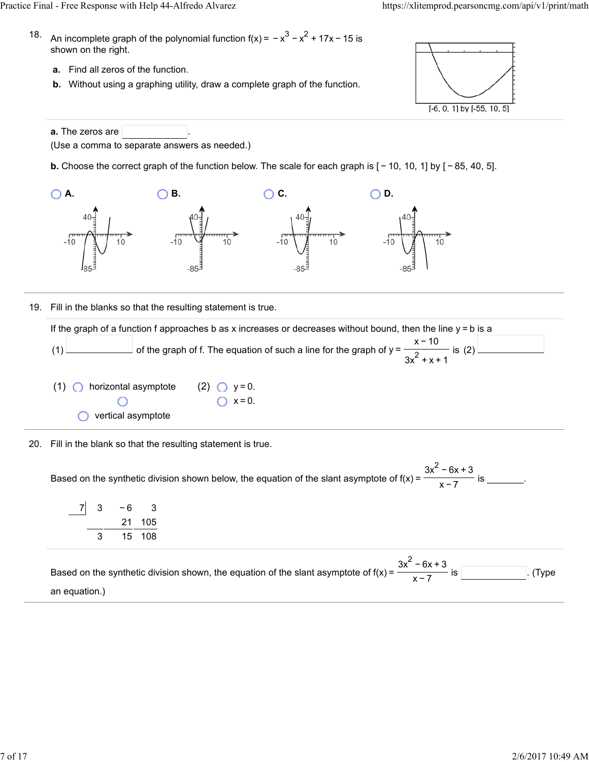- 18. An incomplete graph of the polynomial function f(x) = − $x^3$  −  $x^2$  + 17x − 15 is shown on the right.
	- **a.** Find all zeros of the function.
	- **b.** Without using a graphing utility, draw a complete graph of the function.



**a.** The zeros are (Use a comma to separate answers as needed.)

**b.** Choose the correct graph of the function below. The scale for each graph is  $[-10, 10, 1]$  by  $[-85, 40, 5]$ .



19. Fill in the blanks so that the resulting statement is true.

If the graph of a function f approaches b as x increases or decreases without bound, then the line  $y = b$  is a (1)  $\Box$  of the graph of f. The equation of such a line for the graph of y =  $\Box$  is (2) x − 10  $3x^2 + x + 1$ 

- $(1)$  **O** horizontal asymptote vertical asymptote (2)  $\bigcirc$  y = 0.  $\bigcap x = 0$ .
- 20. Fill in the blank so that the resulting statement is true.

Based on the synthetic division shown below, the equation of the slant asymptote of  $f(x) = \frac{1}{x}$  figures is \_\_\_\_\_\_\_.  $3x^2 - 6x + 3$ x−7

| 3 | - 6 | 3      |
|---|-----|--------|
|   |     | 21 105 |
| З |     | 15 108 |

Based on the synthetic division shown, the equation of the slant asymptote of f(x) =  $\frac{1}{\sqrt{2}}$  is . (Type ... an equation.)  $3x^2 - 6x + 3$ x−7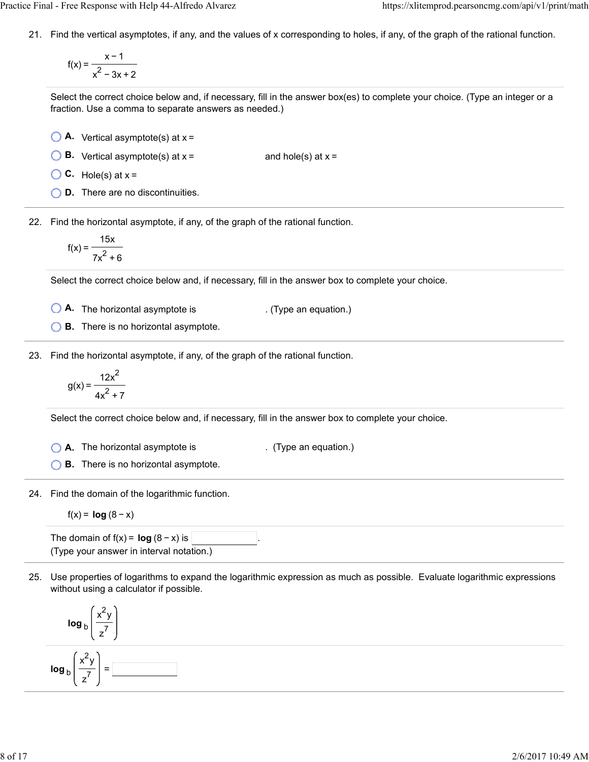21. Find the vertical asymptotes, if any, and the values of x corresponding to holes, if any, of the graph of the rational function.

$$
f(x) = \frac{x-1}{x^2 - 3x + 2}
$$

Select the correct choice below and, if necessary, fill in the answer box(es) to complete your choice. (Type an integer or a fraction. Use a comma to separate answers as needed.)

- **A.** Vertical asymptote(s) at x =
- **B.** Vertical asymptote(s) at  $x =$  and hole(s) at  $x =$
- $\bigcirc$  C. Hole(s) at  $x =$
- **D.** There are no discontinuities.

22. Find the horizontal asymptote, if any, of the graph of the rational function.

$$
f(x) = \frac{15x}{7x^2 + 6}
$$

Select the correct choice below and, if necessary, fill in the answer box to complete your choice.

- **A.** The horizontal asymptote is . (Type an equation.)
- **B.** There is no horizontal asymptote.

23. Find the horizontal asymptote, if any, of the graph of the rational function.

$$
g(x) = \frac{12x^2}{4x^2 + 7}
$$

Select the correct choice below and, if necessary, fill in the answer box to complete your choice.

**A.** The horizontal asymptote is . (Type an equation.)

**B.** There is no horizontal asymptote.

24. Find the domain of the logarithmic function.

$$
f(x) = \log (8 - x)
$$

The domain of  $f(x) = \log (8 - x)$  is . (Type your answer in interval notation.)

25. Use properties of logarithms to expand the logarithmic expression as much as possible. Evaluate logarithmic expressions without using a calculator if possible.

$$
\log_b \left( \frac{x^2 y}{z^7} \right)
$$
\n
$$
\log_b \left( \frac{x^2 y}{z^7} \right) = \boxed{\phantom{00000000}}
$$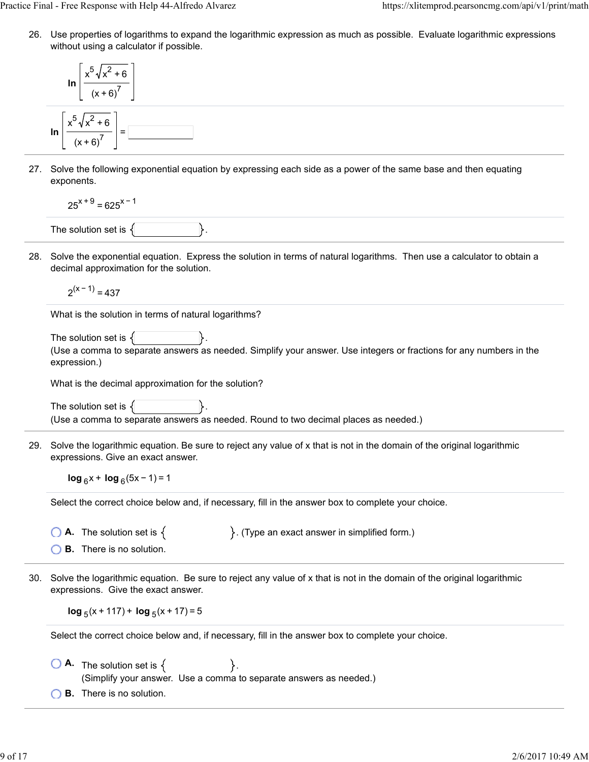26. Use properties of logarithms to expand the logarithmic expression as much as possible. Evaluate logarithmic expressions without using a calculator if possible.

$$
\ln\left[\frac{x^5\sqrt{x^2+6}}{(x+6)^7}\right]
$$
  

$$
\ln\left[\frac{x^5\sqrt{x^2+6}}{(x+6)^7}\right] = \boxed{\frac{3}{2}}
$$

27. Solve the following exponential equation by expressing each side as a power of the same base and then equating exponents.

$$
25^{x+9} = 625^{x-1}
$$

The solution set is  $\{$ 

28. Solve the exponential equation. Express the solution in terms of natural logarithms. Then use a calculator to obtain a decimal approximation for the solution.

 $2^{(x - 1)} = 437$ 

What is the solution in terms of natural logarithms?

```
The solution set is \{(Use a comma to separate answers as needed. Simplify your answer. Use integers or fractions for any numbers in the
expression.)
```
What is the decimal approximation for the solution?

The solution set is  $\{$ (Use a comma to separate answers as needed. Round to two decimal places as needed.)

29. Solve the logarithmic equation. Be sure to reject any value of x that is not in the domain of the original logarithmic expressions. Give an exact answer.

**log**  $_6$ x + **log**  $_6$ (5x − 1) = 1

Select the correct choice below and, if necessary, fill in the answer box to complete your choice.

**A.** The solution set is  $\{$   $\}$ . (Type an exact answer in simplified form.)

- **B.** There is no solution.
- 30. Solve the logarithmic equation. Be sure to reject any value of x that is not in the domain of the original logarithmic expressions. Give the exact answer.

 $log_5(x + 117) + log_5(x + 17) = 5$ 

Select the correct choice below and, if necessary, fill in the answer box to complete your choice.

- $\begin{matrix} \bullet & \bullet \end{matrix}$  **A.** The solution set is  $\{ \ \$ (Simplify your answer. Use a comma to separate answers as needed.)
- **B.** There is no solution.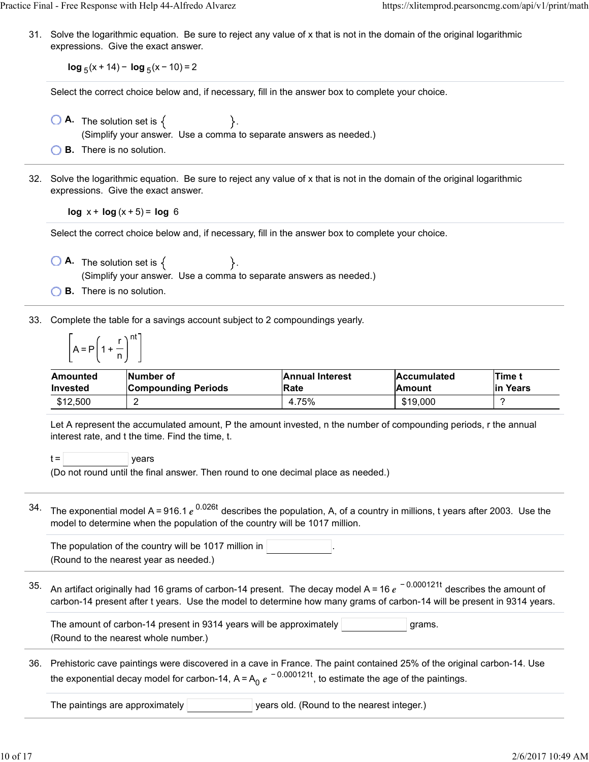31. Solve the logarithmic equation. Be sure to reject any value of x that is not in the domain of the original logarithmic expressions. Give the exact answer.

**log**  $_5(x + 14) - \log_5(x - 10) = 2$ 

Select the correct choice below and, if necessary, fill in the answer box to complete your choice.

- $\overline{A}$ . The solution set is  $\{$ (Simplify your answer. Use a comma to separate answers as needed.)
- **B.** There is no solution.
- 32. Solve the logarithmic equation. Be sure to reject any value of x that is not in the domain of the original logarithmic expressions. Give the exact answer.

**log**  $x + \log(x + 5) = \log 6$ 

Select the correct choice below and, if necessary, fill in the answer box to complete your choice.

- $\overline{A}$ . The solution set is  $\{$ (Simplify your answer. Use a comma to separate answers as needed.)
- **B.** There is no solution.

33. Complete the table for a savings account subject to 2 compoundings yearly.

$$
\left[A = P\left(1 + \frac{r}{n}\right)^{nt}\right]
$$

| Amounted | <b>INumber of</b>   | <b>Annual Interest</b> | <b>Accumulated</b> | Time t    |
|----------|---------------------|------------------------|--------------------|-----------|
| Invested | Compounding Periods | Rate                   | lAmount            | lin Years |
| \$12,500 |                     | 4.75%                  | \$19,000           |           |

Let A represent the accumulated amount, P the amount invested, n the number of compounding periods, r the annual interest rate, and t the time. Find the time, t.

 $t =$   $|$  years

(Do not round until the final answer. Then round to one decimal place as needed.)

34. The exponential model A=916.1  $e^{\,0.026t}$  describes the population, A, of a country in millions, t years after 2003. Use the model to determine when the population of the country will be 1017 million.

The population of the country will be 1017 million in (Round to the nearest year as needed.)

35. An artifact originally had 16 grams of carbon-14 present. The decay model A = 16  $e^{\,\,-\,0.000121t}$  describes the amount of carbon-14 present after t years. Use the model to determine how many grams of carbon-14 will be present in 9314 years.

The amount of carbon-14 present in 9314 years will be approximately  $|$   $|$   $|$ grams. (Round to the nearest whole number.)

36. Prehistoric cave paintings were discovered in a cave in France. The paint contained 25% of the original carbon-14. Use the exponential decay model for carbon-14, A=A<sub>0</sub>  $e^{\,-\,0.000121t}$ , to estimate the age of the paintings.

The paintings are approximately **years old.** (Round to the nearest integer.)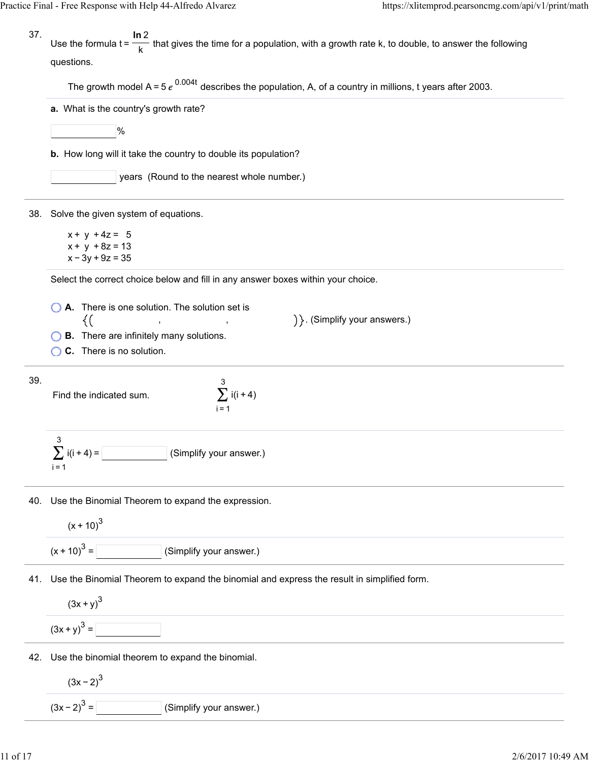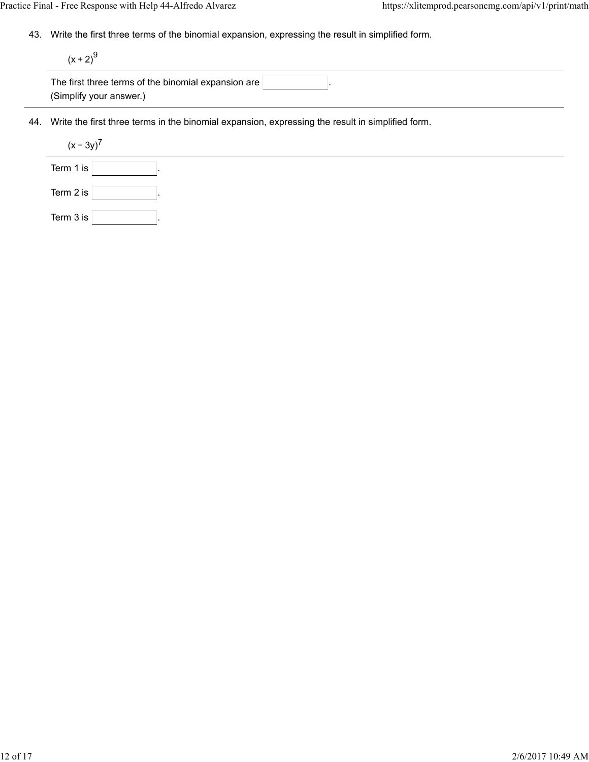43. Write the first three terms of the binomial expansion, expressing the result in simplified form.

 $(x + 2)^{9}$ 

| The first three terms of the binomial expansion are $\mathbin\Vert$ |  |  |
|---------------------------------------------------------------------|--|--|
| (Simplify your answer.)                                             |  |  |

44. Write the first three terms in the binomial expansion, expressing the result in simplified form.

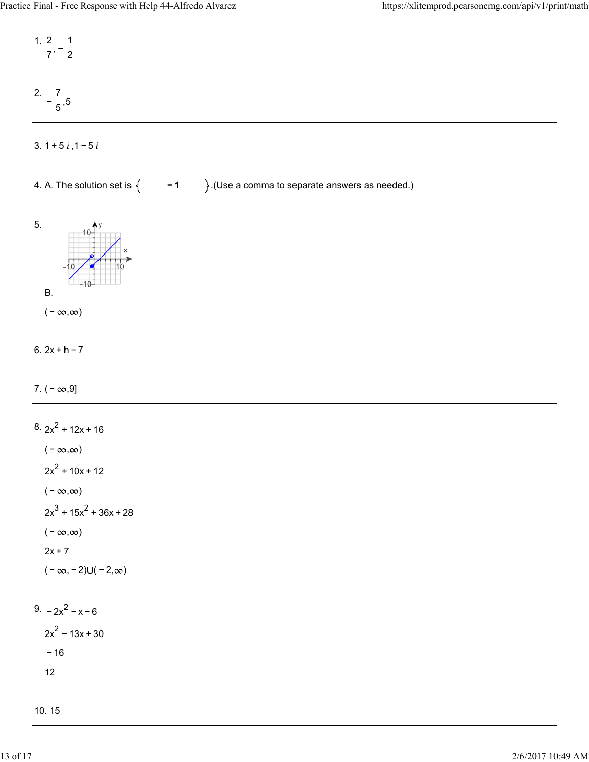| 1. $\frac{2}{7}, -\frac{1}{2}$                                                                                                                                                              |
|---------------------------------------------------------------------------------------------------------------------------------------------------------------------------------------------|
| 2. $-\frac{7}{5}$ , 5                                                                                                                                                                       |
| 3. $1 + 5i$ , $1 - 5i$                                                                                                                                                                      |
| $\}$ .(Use a comma to separate answers as needed.)<br>4. A. The solution set is $\{$<br>$-1$                                                                                                |
| 5.<br><b>B.</b>                                                                                                                                                                             |
| $(-\infty,\infty)$                                                                                                                                                                          |
| 6. $2x + h - 7$                                                                                                                                                                             |
| 7. $(-\infty, 9]$                                                                                                                                                                           |
| $8.2x^2 + 12x + 16$<br>( – $\infty, \infty)$<br>$2x^2$ + 10x + 12<br>$(-\infty,\infty)$<br>$2x^3 + 15x^2 + 36x + 28$<br>$(-\infty,\infty)$<br>$2x + 7$<br>$(-\infty, -2) \cup (-2, \infty)$ |
| 9. $-2x^2 - x - 6$<br>$2x^2 - 13x + 30$<br>$-16$<br>$12$                                                                                                                                    |
| 10.15                                                                                                                                                                                       |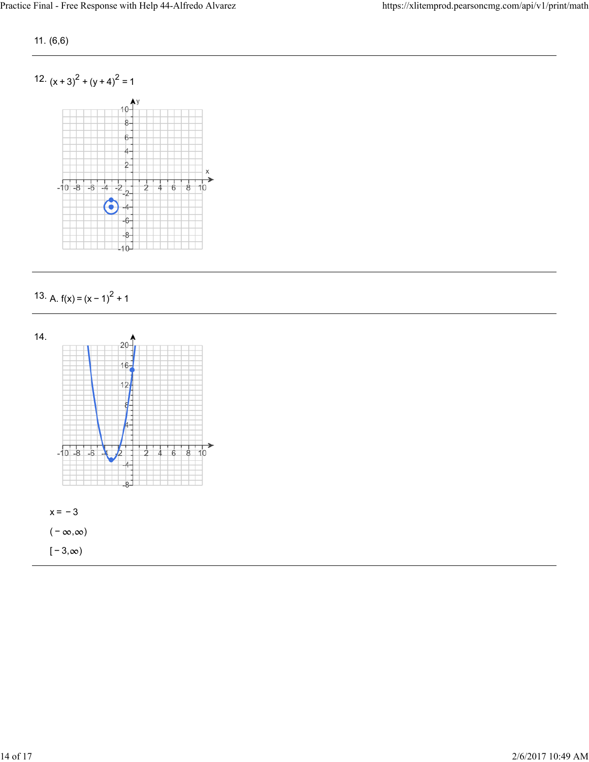11. (6,6)



13. A.  $f(x) = (x - 1)^2 + 1$ 

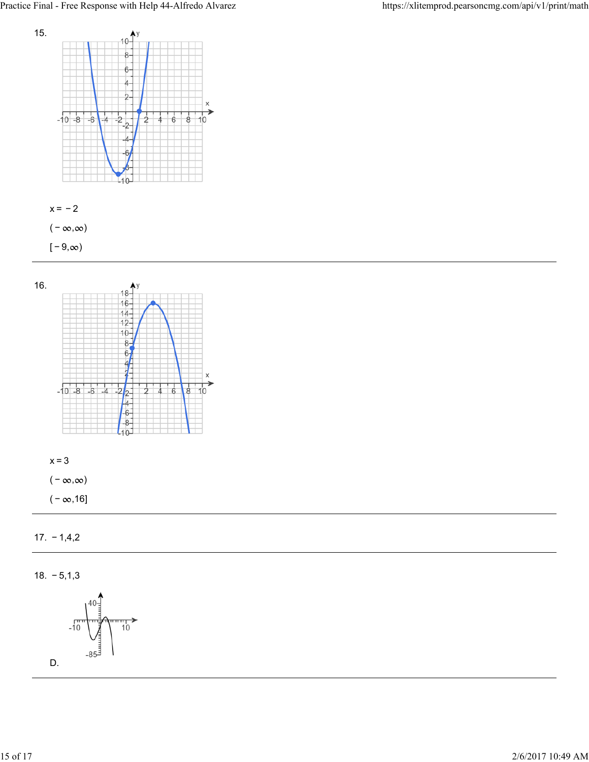







 $(-\infty, \infty)$ 

 $(-\infty,16]$ 

17. − 1,4,2

18. − 5,1,3

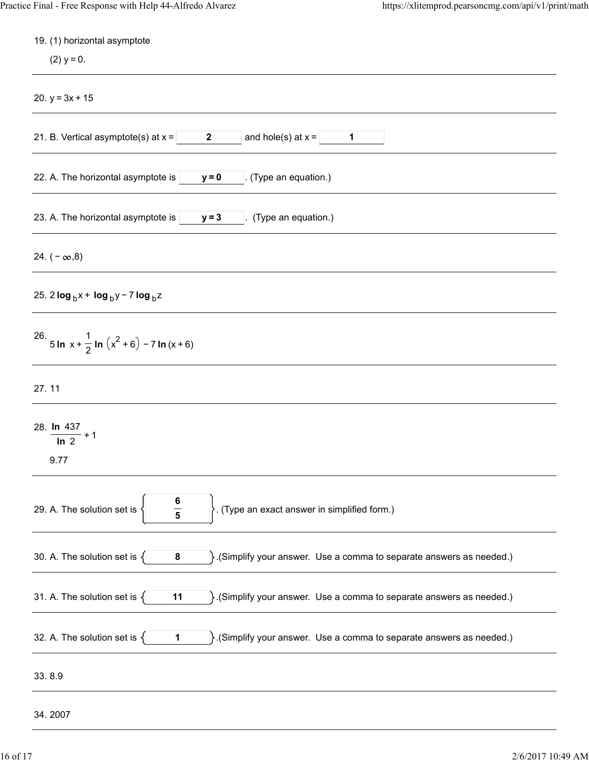| 19. (1) horizontal asymptote<br>$(2)$ y = 0.                                                                       |
|--------------------------------------------------------------------------------------------------------------------|
| 20. $y = 3x + 15$                                                                                                  |
| and hole(s) at $x =$<br>21. B. Vertical asymptote(s) at $x =$<br>$\mathbf{2}$<br>1                                 |
| 22. A. The horizontal asymptote is<br>(Type an equation.)<br>$y = 0$                                               |
| 23. A. The horizontal asymptote is<br>(Type an equation.)<br>$y = 3$                                               |
| 24. $(-\infty, 8)$                                                                                                 |
| 25. 2 $\log_b x + \log_b y - 7 \log_b z$                                                                           |
| 26. 5 In $x + \frac{1}{2}$ In $(x^2 + 6) - 7$ In $(x + 6)$                                                         |
| 27.11                                                                                                              |
| 28. In 437<br>$\frac{1}{\ln 2}$ + 1<br>9.77                                                                        |
| $\frac{6}{5}$<br>. (Type an exact answer in simplified form.)<br>29. A. The solution set is                        |
| 30. A. The solution set is $\{$<br>$\}$ . (Simplify your answer. Use a comma to separate answers as needed.)<br>8  |
| 31. A. The solution set is $\{$<br>$\}$ . (Simplify your answer. Use a comma to separate answers as needed.)<br>11 |
| 32. A. The solution set is $\{$<br>$\}$ . (Simplify your answer. Use a comma to separate answers as needed.)<br>1  |
| 33.8.9                                                                                                             |
| 34.2007                                                                                                            |